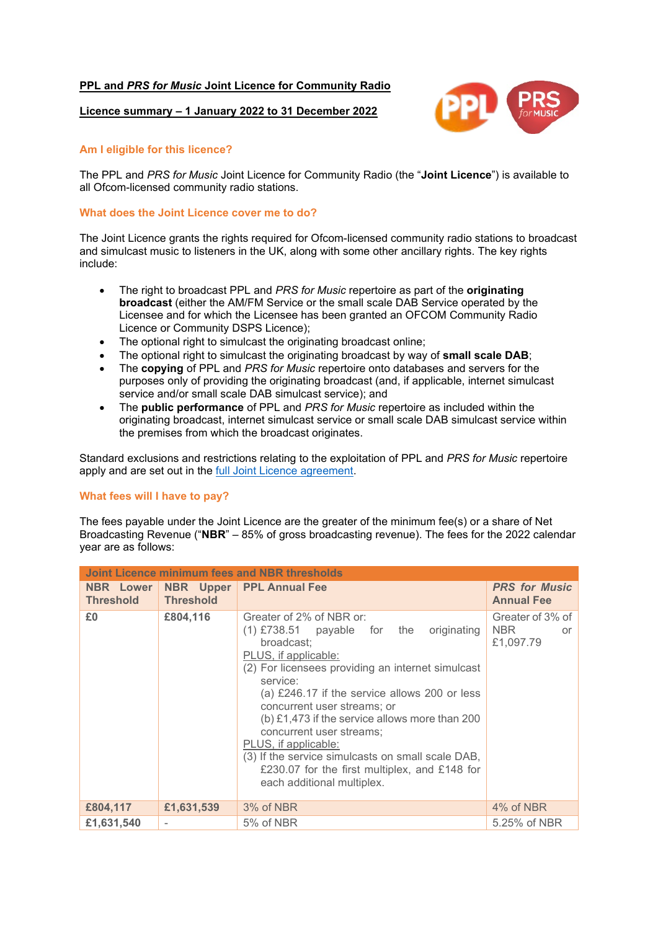# **PPL and** *PRS for Music* **Joint Licence for Community Radio**

### **Licence summary – 1 January 2022 to 31 December 2022**



## **Am I eligible for this licence?**

The PPL and *PRS for Music* Joint Licence for Community Radio (the "**Joint Licence**") is available to all Ofcom-licensed community radio stations.

#### **What does the Joint Licence cover me to do?**

The Joint Licence grants the rights required for Ofcom-licensed community radio stations to broadcast and simulcast music to listeners in the UK, along with some other ancillary rights. The key rights include:

- The right to broadcast PPL and *PRS for Music* repertoire as part of the **originating broadcast** (either the AM/FM Service or the small scale DAB Service operated by the Licensee and for which the Licensee has been granted an OFCOM Community Radio Licence or Community DSPS Licence);
- The optional right to simulcast the originating broadcast online;
- The optional right to simulcast the originating broadcast by way of **small scale DAB**;
- The **copying** of PPL and *PRS for Music* repertoire onto databases and servers for the purposes only of providing the originating broadcast (and, if applicable, internet simulcast service and/or small scale DAB simulcast service); and
- The **public performance** of PPL and *PRS for Music* repertoire as included within the originating broadcast, internet simulcast service or small scale DAB simulcast service within the premises from which the broadcast originates.

Standard exclusions and restrictions relating to the exploitation of PPL and *PRS for Music* repertoire apply and are set out in the [full Joint Licence agreement.](https://www.ppluk.com/wp-content/uploads/2021/01/PPL-PRSfM-Joint-Licence-for-Community-Radio-Agreement-2021.pdf)

### **What fees will I have to pay?**

The fees payable under the Joint Licence are the greater of the minimum fee(s) or a share of Net Broadcasting Revenue ("**NBR**" – 85% of gross broadcasting revenue). The fees for the 2022 calendar year are as follows:

| <b>Joint Licence minimum fees and NBR thresholds</b> |                  |                                                                                                                                                                                                                                                                                                                                                                                                                                                                                                           |                                             |
|------------------------------------------------------|------------------|-----------------------------------------------------------------------------------------------------------------------------------------------------------------------------------------------------------------------------------------------------------------------------------------------------------------------------------------------------------------------------------------------------------------------------------------------------------------------------------------------------------|---------------------------------------------|
| <b>NBR</b> Lower<br><b>Threshold</b>                 | <b>Threshold</b> | <b>NBR</b> Upper PPL Annual Fee                                                                                                                                                                                                                                                                                                                                                                                                                                                                           | <b>PRS for Music</b><br><b>Annual Fee</b>   |
| £0                                                   | £804,116         | Greater of 2% of NBR or:<br>$(1)$ £738.51 payable for the<br>originating<br>broadcast;<br>PLUS, if applicable:<br>(2) For licensees providing an internet simulcast<br>service:<br>(a) £246.17 if the service allows 200 or less<br>concurrent user streams; or<br>(b) £1,473 if the service allows more than 200<br>concurrent user streams;<br>PLUS, if applicable:<br>(3) If the service simulcasts on small scale DAB,<br>£230.07 for the first multiplex, and £148 for<br>each additional multiplex. | Greater of 3% of<br>NBR.<br>or<br>£1,097.79 |
| £804,117                                             | £1,631,539       | 3% of NBR                                                                                                                                                                                                                                                                                                                                                                                                                                                                                                 | 4% of NBR                                   |
| £1,631,540                                           |                  | 5% of NBR                                                                                                                                                                                                                                                                                                                                                                                                                                                                                                 | 5.25% of NBR                                |